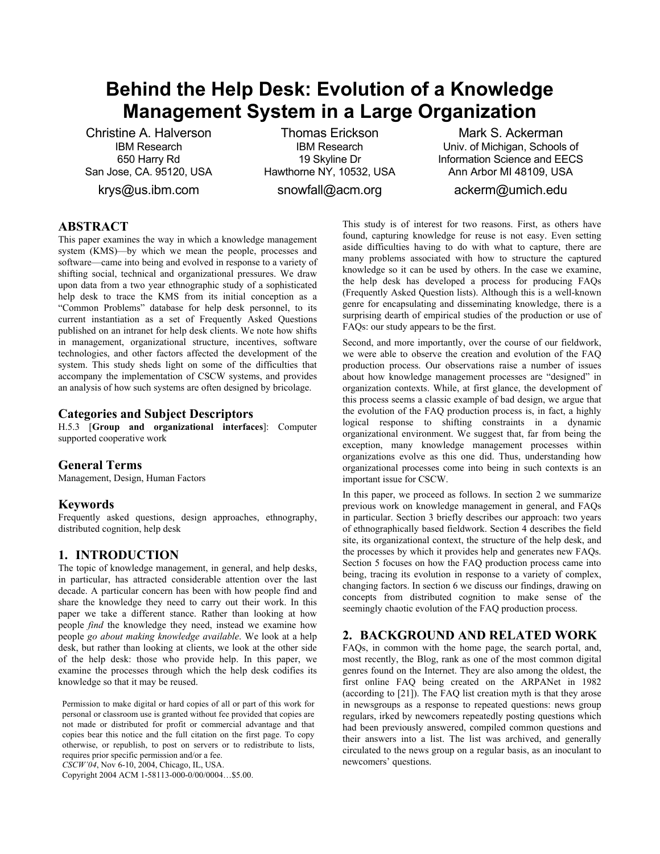# **Behind the Help Desk: Evolution of a Knowledge Management System in a Large Organization**

Christine A. Halverson IBM Research 650 Harry Rd San Jose, CA. 95120, USA krys@us.ibm.com

Thomas Erickson IBM Research 19 Skyline Dr Hawthorne NY, 10532, USA snowfall@acm.org

Mark S. Ackerman Univ. of Michigan, Schools of Information Science and EECS Ann Arbor MI 48109, USA

ackerm@umich.edu

## **ABSTRACT**

This paper examines the way in which a knowledge management system (KMS)—by which we mean the people, processes and software—came into being and evolved in response to a variety of shifting social, technical and organizational pressures. We draw upon data from a two year ethnographic study of a sophisticated help desk to trace the KMS from its initial conception as a "Common Problems" database for help desk personnel, to its current instantiation as a set of Frequently Asked Questions published on an intranet for help desk clients. We note how shifts in management, organizational structure, incentives, software technologies, and other factors affected the development of the system. This study sheds light on some of the difficulties that accompany the implementation of CSCW systems, and provides an analysis of how such systems are often designed by bricolage.

#### **Categories and Subject Descriptors**

H.5.3 [**Group and organizational interfaces**]: Computer supported cooperative work

## **General Terms**

Management, Design, Human Factors

## **Keywords**

Frequently asked questions, design approaches, ethnography, distributed cognition, help desk

## **1. INTRODUCTION**

The topic of knowledge management, in general, and help desks, in particular, has attracted considerable attention over the last decade. A particular concern has been with how people find and share the knowledge they need to carry out their work. In this paper we take a different stance. Rather than looking at how people *find* the knowledge they need, instead we examine how people *go about making knowledge available*. We look at a help desk, but rather than looking at clients, we look at the other side of the help desk: those who provide help. In this paper, we examine the processes through which the help desk codifies its knowledge so that it may be reused.

Permission to make digital or hard copies of all or part of this work for personal or classroom use is granted without fee provided that copies are not made or distributed for profit or commercial advantage and that copies bear this notice and the full citation on the first page. To copy otherwise, or republish, to post on servers or to redistribute to lists, requires prior specific permission and/or a fee.

*CSCW'04*, Nov 6-10, 2004, Chicago, IL, USA.

Copyright 2004 ACM 1-58113-000-0/00/0004…\$5.00.

This study is of interest for two reasons. First, as others have found, capturing knowledge for reuse is not easy. Even setting aside difficulties having to do with what to capture, there are many problems associated with how to structure the captured knowledge so it can be used by others. In the case we examine, the help desk has developed a process for producing FAQs (Frequently Asked Question lists). Although this is a well-known genre for encapsulating and disseminating knowledge, there is a surprising dearth of empirical studies of the production or use of FAQs: our study appears to be the first.

Second, and more importantly, over the course of our fieldwork, we were able to observe the creation and evolution of the FAQ production process. Our observations raise a number of issues about how knowledge management processes are "designed" in organization contexts. While, at first glance, the development of this process seems a classic example of bad design, we argue that the evolution of the FAQ production process is, in fact, a highly logical response to shifting constraints in a dynamic organizational environment. We suggest that, far from being the exception, many knowledge management processes within organizations evolve as this one did. Thus, understanding how organizational processes come into being in such contexts is an important issue for CSCW.

In this paper, we proceed as follows. In section 2 we summarize previous work on knowledge management in general, and FAQs in particular. Section 3 briefly describes our approach: two years of ethnographically based fieldwork. Section 4 describes the field site, its organizational context, the structure of the help desk, and the processes by which it provides help and generates new FAQs. Section 5 focuses on how the FAQ production process came into being, tracing its evolution in response to a variety of complex, changing factors. In section 6 we discuss our findings, drawing on concepts from distributed cognition to make sense of the seemingly chaotic evolution of the FAQ production process.

## **2. BACKGROUND AND RELATED WORK**

FAQs, in common with the home page, the search portal, and, most recently, the Blog, rank as one of the most common digital genres found on the Internet. They are also among the oldest, the first online FAQ being created on the ARPANet in 1982 (according to [21]). The FAQ list creation myth is that they arose in newsgroups as a response to repeated questions: news group regulars, irked by newcomers repeatedly posting questions which had been previously answered, compiled common questions and their answers into a list. The list was archived, and generally circulated to the news group on a regular basis, as an inoculant to newcomers' questions.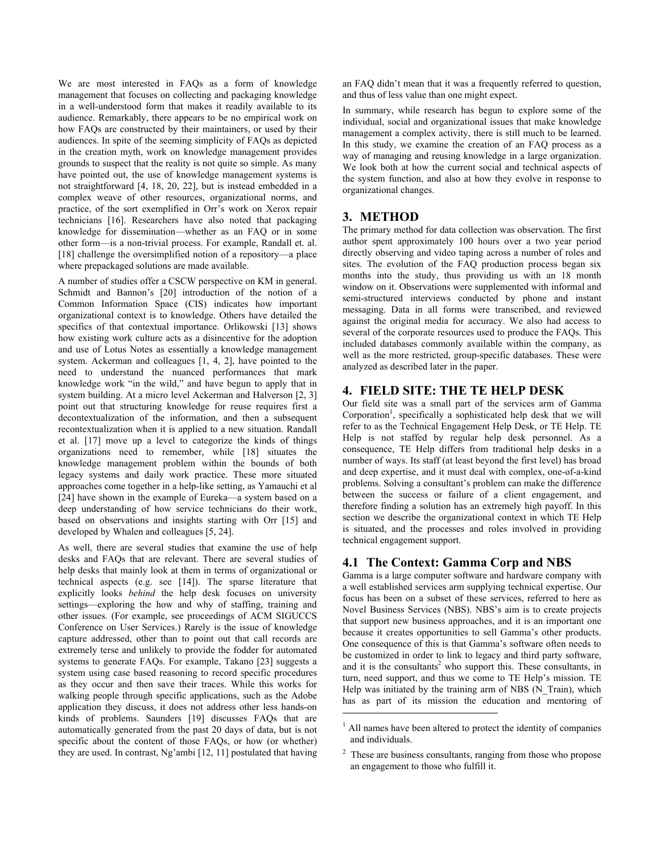We are most interested in FAQs as a form of knowledge management that focuses on collecting and packaging knowledge in a well-understood form that makes it readily available to its audience. Remarkably, there appears to be no empirical work on how FAQs are constructed by their maintainers, or used by their audiences. In spite of the seeming simplicity of FAQs as depicted in the creation myth, work on knowledge management provides grounds to suspect that the reality is not quite so simple. As many have pointed out, the use of knowledge management systems is not straightforward [4, 18, 20, 22], but is instead embedded in a complex weave of other resources, organizational norms, and practice, of the sort exemplified in Orr's work on Xerox repair technicians [16]. Researchers have also noted that packaging knowledge for dissemination—whether as an FAQ or in some other form—is a non-trivial process. For example, Randall et. al. [18] challenge the oversimplified notion of a repository—a place where prepackaged solutions are made available.

A number of studies offer a CSCW perspective on KM in general. Schmidt and Bannon's [20] introduction of the notion of a Common Information Space (CIS) indicates how important organizational context is to knowledge. Others have detailed the specifics of that contextual importance. Orlikowski [13] shows how existing work culture acts as a disincentive for the adoption and use of Lotus Notes as essentially a knowledge management system. Ackerman and colleagues [1, 4, 2], have pointed to the need to understand the nuanced performances that mark knowledge work "in the wild," and have begun to apply that in system building. At a micro level Ackerman and Halverson [2, 3] point out that structuring knowledge for reuse requires first a decontextualization of the information, and then a subsequent recontextualization when it is applied to a new situation. Randall et al. [17] move up a level to categorize the kinds of things organizations need to remember, while [18] situates the knowledge management problem within the bounds of both legacy systems and daily work practice. These more situated approaches come together in a help-like setting, as Yamauchi et al [24] have shown in the example of Eureka—a system based on a deep understanding of how service technicians do their work, based on observations and insights starting with Orr [15] and developed by Whalen and colleagues [5, 24].

As well, there are several studies that examine the use of help desks and FAQs that are relevant. There are several studies of help desks that mainly look at them in terms of organizational or technical aspects (e.g. see [14]). The sparse literature that explicitly looks *behind* the help desk focuses on university settings—exploring the how and why of staffing, training and other issues. (For example, see proceedings of ACM SIGUCCS Conference on User Services.) Rarely is the issue of knowledge capture addressed, other than to point out that call records are extremely terse and unlikely to provide the fodder for automated systems to generate FAQs. For example, Takano [23] suggests a system using case based reasoning to record specific procedures as they occur and then save their traces. While this works for walking people through specific applications, such as the Adobe application they discuss, it does not address other less hands-on kinds of problems. Saunders [19] discusses FAQs that are automatically generated from the past 20 days of data, but is not specific about the content of those FAQs, or how (or whether) they are used. In contrast, Ng'ambi [12, 11] postulated that having an FAQ didn't mean that it was a frequently referred to question, and thus of less value than one might expect.

In summary, while research has begun to explore some of the individual, social and organizational issues that make knowledge management a complex activity, there is still much to be learned. In this study, we examine the creation of an FAQ process as a way of managing and reusing knowledge in a large organization. We look both at how the current social and technical aspects of the system function, and also at how they evolve in response to organizational changes.

# **3. METHOD**

The primary method for data collection was observation. The first author spent approximately 100 hours over a two year period directly observing and video taping across a number of roles and sites. The evolution of the FAQ production process began six months into the study, thus providing us with an 18 month window on it. Observations were supplemented with informal and semi-structured interviews conducted by phone and instant messaging. Data in all forms were transcribed, and reviewed against the original media for accuracy. We also had access to several of the corporate resources used to produce the FAQs. This included databases commonly available within the company, as well as the more restricted, group-specific databases. These were analyzed as described later in the paper.

# **4. FIELD SITE: THE TE HELP DESK**

Our field site was a small part of the services arm of Gamma  $Corporation<sup>1</sup>$ , specifically a sophisticated help desk that we will refer to as the Technical Engagement Help Desk, or TE Help. TE Help is not staffed by regular help desk personnel. As a consequence, TE Help differs from traditional help desks in a number of ways. Its staff (at least beyond the first level) has broad and deep expertise, and it must deal with complex, one-of-a-kind problems. Solving a consultant's problem can make the difference between the success or failure of a client engagement, and therefore finding a solution has an extremely high payoff. In this section we describe the organizational context in which TE Help is situated, and the processes and roles involved in providing technical engagement support.

# **4.1 The Context: Gamma Corp and NBS**

Gamma is a large computer software and hardware company with a well established services arm supplying technical expertise. Our focus has been on a subset of these services, referred to here as Novel Business Services (NBS). NBS's aim is to create projects that support new business approaches, and it is an important one because it creates opportunities to sell Gamma's other products. One consequence of this is that Gamma's software often needs to be customized in order to link to legacy and third party software, and it is the consultants<sup>2</sup> who support this. These consultants, in turn, need support, and thus we come to TE Help's mission. TE Help was initiated by the training arm of NBS (N\_Train), which has as part of its mission the education and mentoring of

1

<sup>&</sup>lt;sup>1</sup> All names have been altered to protect the identity of companies and individuals.

<sup>&</sup>lt;sup>2</sup> These are business consultants, ranging from those who propose an engagement to those who fulfill it.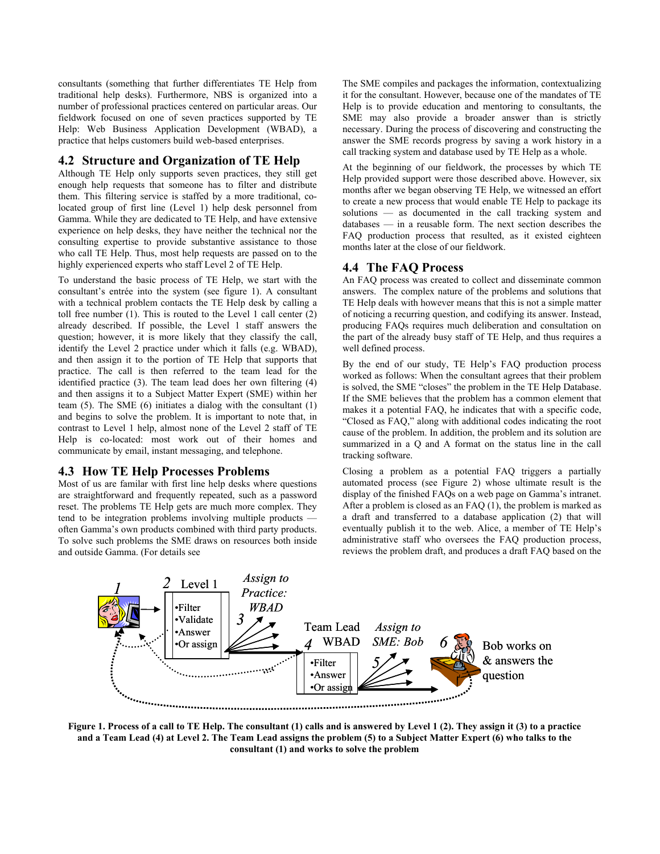consultants (something that further differentiates TE Help from traditional help desks). Furthermore, NBS is organized into a number of professional practices centered on particular areas. Our fieldwork focused on one of seven practices supported by TE Help: Web Business Application Development (WBAD), a practice that helps customers build web-based enterprises.

## **4.2 Structure and Organization of TE Help**

Although TE Help only supports seven practices, they still get enough help requests that someone has to filter and distribute them. This filtering service is staffed by a more traditional, colocated group of first line (Level 1) help desk personnel from Gamma. While they are dedicated to TE Help, and have extensive experience on help desks, they have neither the technical nor the consulting expertise to provide substantive assistance to those who call TE Help. Thus, most help requests are passed on to the highly experienced experts who staff Level 2 of TE Help.

To understand the basic process of TE Help, we start with the consultant's entrée into the system (see figure 1). A consultant with a technical problem contacts the TE Help desk by calling a toll free number (1). This is routed to the Level 1 call center (2) already described. If possible, the Level 1 staff answers the question; however, it is more likely that they classify the call, identify the Level 2 practice under which it falls (e.g. WBAD), and then assign it to the portion of TE Help that supports that practice. The call is then referred to the team lead for the identified practice (3). The team lead does her own filtering (4) and then assigns it to a Subject Matter Expert (SME) within her team (5). The SME (6) initiates a dialog with the consultant (1) and begins to solve the problem. It is important to note that, in contrast to Level 1 help, almost none of the Level 2 staff of TE Help is co-located: most work out of their homes and communicate by email, instant messaging, and telephone.

## **4.3 How TE Help Processes Problems**

Most of us are familar with first line help desks where questions are straightforward and frequently repeated, such as a password reset. The problems TE Help gets are much more complex. They tend to be integration problems involving multiple products often Gamma's own products combined with third party products. To solve such problems the SME draws on resources both inside and outside Gamma. (For details see

The SME compiles and packages the information, contextualizing it for the consultant. However, because one of the mandates of TE Help is to provide education and mentoring to consultants, the SME may also provide a broader answer than is strictly necessary. During the process of discovering and constructing the answer the SME records progress by saving a work history in a call tracking system and database used by TE Help as a whole.

At the beginning of our fieldwork, the processes by which TE Help provided support were those described above. However, six months after we began observing TE Help, we witnessed an effort to create a new process that would enable TE Help to package its solutions — as documented in the call tracking system and databases — in a reusable form. The next section describes the FAQ production process that resulted, as it existed eighteen months later at the close of our fieldwork.

## **4.4 The FAQ Process**

An FAQ process was created to collect and disseminate common answers. The complex nature of the problems and solutions that TE Help deals with however means that this is not a simple matter of noticing a recurring question, and codifying its answer. Instead, producing FAQs requires much deliberation and consultation on the part of the already busy staff of TE Help, and thus requires a well defined process.

By the end of our study, TE Help's FAQ production process worked as follows: When the consultant agrees that their problem is solved, the SME "closes" the problem in the TE Help Database. If the SME believes that the problem has a common element that makes it a potential FAQ, he indicates that with a specific code, "Closed as FAQ," along with additional codes indicating the root cause of the problem. In addition, the problem and its solution are summarized in a Q and A format on the status line in the call tracking software.

Closing a problem as a potential FAQ triggers a partially automated process (see Figure 2) whose ultimate result is the display of the finished FAQs on a web page on Gamma's intranet. After a problem is closed as an FAQ (1), the problem is marked as a draft and transferred to a database application (2) that will eventually publish it to the web. Alice, a member of TE Help's administrative staff who oversees the FAQ production process, reviews the problem draft, and produces a draft FAQ based on the



**Figure 1. Process of a call to TE Help. The consultant (1) calls and is answered by Level 1 (2). They assign it (3) to a practice and a Team Lead (4) at Level 2. The Team Lead assigns the problem (5) to a Subject Matter Expert (6) who talks to the consultant (1) and works to solve the problem**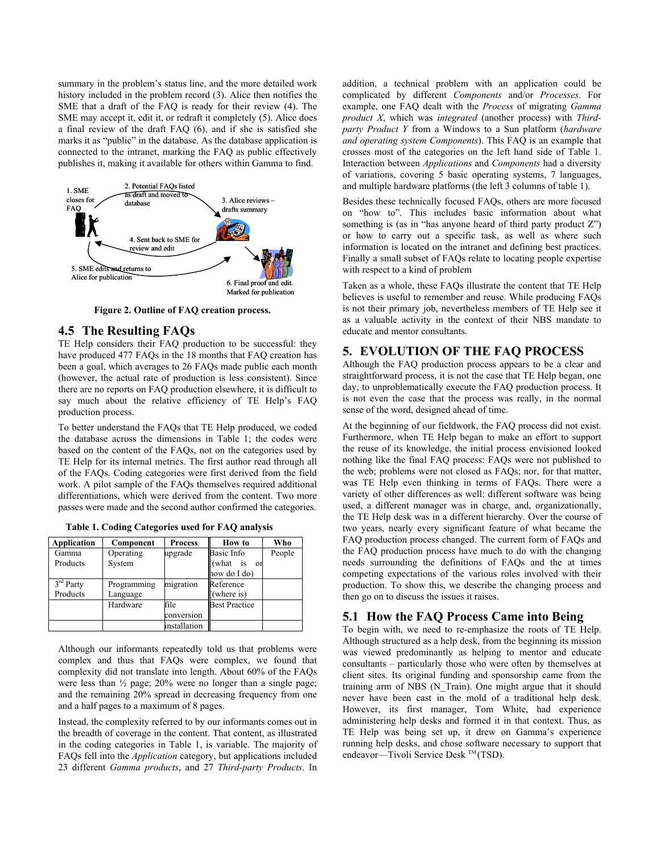summary in the problem's status line, and the more detailed work history included in the problem record (3). Alice then notifies the SME that a draft of the FAQ is ready for their review (4). The SME may accept it, edit it, or redraft it completely (5). Alice does a final review of the draft FAQ (6), and if she is satisfied she marks it as "public" in the database. As the database application is connected to the intranet, marking the FAQ as public effectively publishes it, making it available for others within Gamma to find.



**Figure 2. Outline of FAQ creation process.** 

## **4.5 The Resulting FAQs**

TE Help considers their FAQ production to be successful: they have produced 477 FAQs in the 18 months that FAQ creation has been a goal, which averages to 26 FAQs made public each month (however, the actual rate of production is less consistent). Since there are no reports on FAQ production elsewhere, it is difficult to say much about the relative efficiency of TE Help's FAQ production process.

To better understand the FAQs that TE Help produced, we coded the database across the dimensions in Table 1; the codes were based on the content of the FAQs, not on the categories used by TE Help for its internal metrics. The first author read through all of the FAQs. Coding categories were first derived from the field work. A pilot sample of the FAQs themselves required additional differentiations, which were derived from the content. Two more passes were made and the second author confirmed the categories.

| Application           | Component   | <b>Process</b> | <b>How to</b>             | Who    |
|-----------------------|-------------|----------------|---------------------------|--------|
| Gamma                 | Operating   | upgrade        | Basic Info                | People |
| Products              | System      |                | (what is<br><sub>or</sub> |        |
|                       |             |                | how do I do)              |        |
| 3 <sup>rd</sup> Party | Programming | migration      | Reference                 |        |
| Products              | Language    |                | (where is)                |        |
|                       | Hardware    | file           | <b>Best Practice</b>      |        |
|                       |             | conversion     |                           |        |
|                       |             | installation   |                           |        |

**Table 1. Coding Categories used for FAQ analysis** 

Although our informants repeatedly told us that problems were complex and thus that FAQs were complex, we found that complexity did not translate into length. About 60% of the FAQs were less than ½ page; 20% were no longer than a single page; and the remaining 20% spread in decreasing frequency from one and a half pages to a maximum of 8 pages.

Instead, the complexity referred to by our informants comes out in the breadth of coverage in the content. That content, as illustrated in the coding categories in Table 1, is variable. The majority of FAQs fell into the *Application* category, but applications included 23 different *Gamma products*, and 27 *Third-party Products*. In

addition, a technical problem with an application could be complicated by different *Components* and/or *Processes*. For example, one FAQ dealt with the *Process* of migrating *Gamma product X*, which was *integrated* (another process) with *Thirdparty Product Y* from a Windows to a Sun platform (*hardware and operating system Components*). This FAQ is an example that crosses most of the categories on the left hand side of Table 1. Interaction between *Applications* and *Components* had a diversity of variations, covering 5 basic operating systems, 7 languages, and multiple hardware platforms (the left 3 columns of table 1).

Besides these technically focused FAQs, others are more focused on "how to". This includes basic information about what something is (as in "has anyone heard of third party product  $Z$ ") or how to carry out a specific task, as well as where such information is located on the intranet and defining best practices. Finally a small subset of FAQs relate to locating people expertise with respect to a kind of problem

Taken as a whole, these FAQs illustrate the content that TE Help believes is useful to remember and reuse. While producing FAQs is not their primary job, nevertheless members of TE Help see it as a valuable activity in the context of their NBS mandate to educate and mentor consultants.

## **5. EVOLUTION OF THE FAQ PROCESS**

Although the FAQ production process appears to be a clear and straightforward process, it is not the case that TE Help began, one day, to unproblematically execute the FAQ production process. It is not even the case that the process was really, in the normal sense of the word, designed ahead of time.

At the beginning of our fieldwork, the FAQ process did not exist. Furthermore, when TE Help began to make an effort to support the reuse of its knowledge, the initial process envisioned looked nothing like the final FAQ process: FAQs were not published to the web; problems were not closed as FAQs; nor, for that matter, was TE Help even thinking in terms of FAQs. There were a variety of other differences as well: different software was being used, a different manager was in charge, and, organizationally, the TE Help desk was in a different hierarchy. Over the course of two years, nearly every significant feature of what became the FAQ production process changed. The current form of FAQs and the FAQ production process have much to do with the changing needs surrounding the definitions of FAQs and the at times competing expectations of the various roles involved with their production. To show this, we describe the changing process and then go on to discuss the issues it raises.

## **5.1 How the FAQ Process Came into Being**

To begin with, we need to re-emphasize the roots of TE Help. Although structured as a help desk, from the beginning its mission was viewed predominantly as helping to mentor and educate consultants – particularly those who were often by themselves at client sites. Its original funding and sponsorship came from the training arm of NBS (N\_Train). One might argue that it should never have been cast in the mold of a traditional help desk. However, its first manager, Tom White, had experience administering help desks and formed it in that context. Thus, as TE Help was being set up, it drew on Gamma's experience running help desks, and chose software necessary to support that endeavor—Tivoli Service Desk ™(TSD).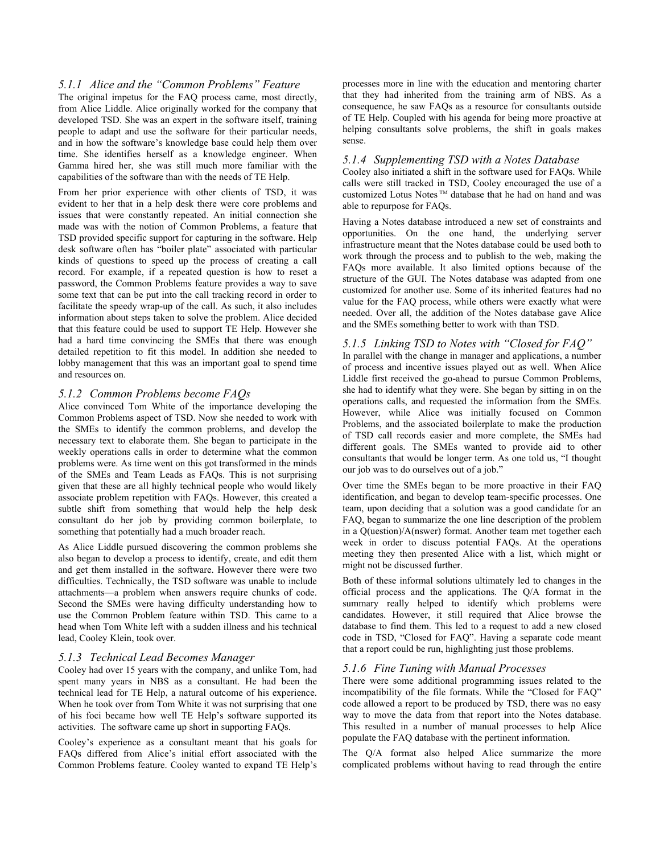## *5.1.1 Alice and the "Common Problems" Feature*

The original impetus for the FAQ process came, most directly, from Alice Liddle. Alice originally worked for the company that developed TSD. She was an expert in the software itself, training people to adapt and use the software for their particular needs, and in how the software's knowledge base could help them over time. She identifies herself as a knowledge engineer. When Gamma hired her, she was still much more familiar with the capabilities of the software than with the needs of TE Help.

From her prior experience with other clients of TSD, it was evident to her that in a help desk there were core problems and issues that were constantly repeated. An initial connection she made was with the notion of Common Problems, a feature that TSD provided specific support for capturing in the software. Help desk software often has "boiler plate" associated with particular kinds of questions to speed up the process of creating a call record. For example, if a repeated question is how to reset a password, the Common Problems feature provides a way to save some text that can be put into the call tracking record in order to facilitate the speedy wrap-up of the call. As such, it also includes information about steps taken to solve the problem. Alice decided that this feature could be used to support TE Help. However she had a hard time convincing the SMEs that there was enough detailed repetition to fit this model. In addition she needed to lobby management that this was an important goal to spend time and resources on.

#### *5.1.2 Common Problems become FAQs*

Alice convinced Tom White of the importance developing the Common Problems aspect of TSD. Now she needed to work with the SMEs to identify the common problems, and develop the necessary text to elaborate them. She began to participate in the weekly operations calls in order to determine what the common problems were. As time went on this got transformed in the minds of the SMEs and Team Leads as FAQs. This is not surprising given that these are all highly technical people who would likely associate problem repetition with FAQs. However, this created a subtle shift from something that would help the help desk consultant do her job by providing common boilerplate, to something that potentially had a much broader reach.

As Alice Liddle pursued discovering the common problems she also began to develop a process to identify, create, and edit them and get them installed in the software. However there were two difficulties. Technically, the TSD software was unable to include attachments—a problem when answers require chunks of code. Second the SMEs were having difficulty understanding how to use the Common Problem feature within TSD. This came to a head when Tom White left with a sudden illness and his technical lead, Cooley Klein, took over.

#### *5.1.3 Technical Lead Becomes Manager*

Cooley had over 15 years with the company, and unlike Tom, had spent many years in NBS as a consultant. He had been the technical lead for TE Help, a natural outcome of his experience. When he took over from Tom White it was not surprising that one of his foci became how well TE Help's software supported its activities. The software came up short in supporting FAQs.

Cooley's experience as a consultant meant that his goals for FAQs differed from Alice's initial effort associated with the Common Problems feature. Cooley wanted to expand TE Help's

processes more in line with the education and mentoring charter that they had inherited from the training arm of NBS. As a consequence, he saw FAQs as a resource for consultants outside of TE Help. Coupled with his agenda for being more proactive at helping consultants solve problems, the shift in goals makes sense.

#### *5.1.4 Supplementing TSD with a Notes Database*

Cooley also initiated a shift in the software used for FAQs. While calls were still tracked in TSD, Cooley encouraged the use of a customized Lotus Notes TM database that he had on hand and was able to repurpose for FAQs.

Having a Notes database introduced a new set of constraints and opportunities. On the one hand, the underlying server infrastructure meant that the Notes database could be used both to work through the process and to publish to the web, making the FAQs more available. It also limited options because of the structure of the GUI. The Notes database was adapted from one customized for another use. Some of its inherited features had no value for the FAQ process, while others were exactly what were needed. Over all, the addition of the Notes database gave Alice and the SMEs something better to work with than TSD.

## *5.1.5 Linking TSD to Notes with "Closed for FAQ"*

In parallel with the change in manager and applications, a number of process and incentive issues played out as well. When Alice Liddle first received the go-ahead to pursue Common Problems, she had to identify what they were. She began by sitting in on the operations calls, and requested the information from the SMEs. However, while Alice was initially focused on Common Problems, and the associated boilerplate to make the production of TSD call records easier and more complete, the SMEs had different goals. The SMEs wanted to provide aid to other consultants that would be longer term. As one told us, "I thought our job was to do ourselves out of a job."

Over time the SMEs began to be more proactive in their FAQ identification, and began to develop team-specific processes. One team, upon deciding that a solution was a good candidate for an FAQ, began to summarize the one line description of the problem in a Q(uestion)/A(nswer) format. Another team met together each week in order to discuss potential FAQs. At the operations meeting they then presented Alice with a list, which might or might not be discussed further.

Both of these informal solutions ultimately led to changes in the official process and the applications. The Q/A format in the summary really helped to identify which problems were candidates. However, it still required that Alice browse the database to find them. This led to a request to add a new closed code in TSD, "Closed for FAQ". Having a separate code meant that a report could be run, highlighting just those problems.

#### *5.1.6 Fine Tuning with Manual Processes*

There were some additional programming issues related to the incompatibility of the file formats. While the "Closed for FAQ" code allowed a report to be produced by TSD, there was no easy way to move the data from that report into the Notes database. This resulted in a number of manual processes to help Alice populate the FAQ database with the pertinent information.

The Q/A format also helped Alice summarize the more complicated problems without having to read through the entire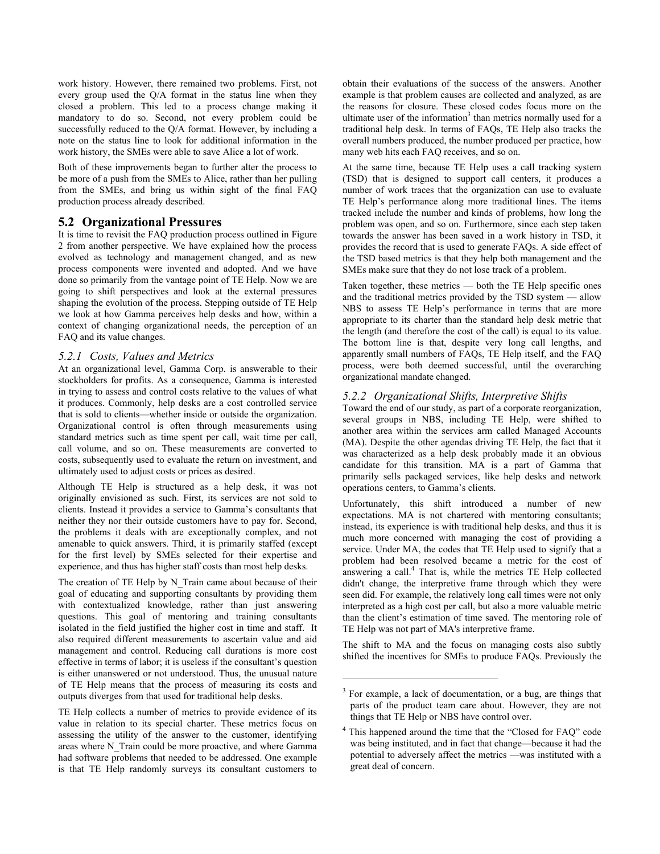work history. However, there remained two problems. First, not every group used the Q/A format in the status line when they closed a problem. This led to a process change making it mandatory to do so. Second, not every problem could be successfully reduced to the Q/A format. However, by including a note on the status line to look for additional information in the work history, the SMEs were able to save Alice a lot of work.

Both of these improvements began to further alter the process to be more of a push from the SMEs to Alice, rather than her pulling from the SMEs, and bring us within sight of the final FAQ production process already described.

# **5.2 Organizational Pressures**

It is time to revisit the FAQ production process outlined in Figure 2 from another perspective. We have explained how the process evolved as technology and management changed, and as new process components were invented and adopted. And we have done so primarily from the vantage point of TE Help. Now we are going to shift perspectives and look at the external pressures shaping the evolution of the process. Stepping outside of TE Help we look at how Gamma perceives help desks and how, within a context of changing organizational needs, the perception of an FAQ and its value changes.

## *5.2.1 Costs, Values and Metrics*

At an organizational level, Gamma Corp. is answerable to their stockholders for profits. As a consequence, Gamma is interested in trying to assess and control costs relative to the values of what it produces. Commonly, help desks are a cost controlled service that is sold to clients—whether inside or outside the organization. Organizational control is often through measurements using standard metrics such as time spent per call, wait time per call, call volume, and so on. These measurements are converted to costs, subsequently used to evaluate the return on investment, and ultimately used to adjust costs or prices as desired.

Although TE Help is structured as a help desk, it was not originally envisioned as such. First, its services are not sold to clients. Instead it provides a service to Gamma's consultants that neither they nor their outside customers have to pay for. Second, the problems it deals with are exceptionally complex, and not amenable to quick answers. Third, it is primarily staffed (except for the first level) by SMEs selected for their expertise and experience, and thus has higher staff costs than most help desks.

The creation of TE Help by N\_Train came about because of their goal of educating and supporting consultants by providing them with contextualized knowledge, rather than just answering questions. This goal of mentoring and training consultants isolated in the field justified the higher cost in time and staff. It also required different measurements to ascertain value and aid management and control. Reducing call durations is more cost effective in terms of labor; it is useless if the consultant's question is either unanswered or not understood. Thus, the unusual nature of TE Help means that the process of measuring its costs and outputs diverges from that used for traditional help desks.

TE Help collects a number of metrics to provide evidence of its value in relation to its special charter. These metrics focus on assessing the utility of the answer to the customer, identifying areas where N\_Train could be more proactive, and where Gamma had software problems that needed to be addressed. One example is that TE Help randomly surveys its consultant customers to obtain their evaluations of the success of the answers. Another example is that problem causes are collected and analyzed, as are the reasons for closure. These closed codes focus more on the ultimate user of the information<sup>3</sup> than metrics normally used for a traditional help desk. In terms of FAQs, TE Help also tracks the overall numbers produced, the number produced per practice, how many web hits each FAQ receives, and so on.

At the same time, because TE Help uses a call tracking system (TSD) that is designed to support call centers, it produces a number of work traces that the organization can use to evaluate TE Help's performance along more traditional lines. The items tracked include the number and kinds of problems, how long the problem was open, and so on. Furthermore, since each step taken towards the answer has been saved in a work history in TSD, it provides the record that is used to generate FAQs. A side effect of the TSD based metrics is that they help both management and the SMEs make sure that they do not lose track of a problem.

Taken together, these metrics — both the TE Help specific ones and the traditional metrics provided by the TSD system — allow NBS to assess TE Help's performance in terms that are more appropriate to its charter than the standard help desk metric that the length (and therefore the cost of the call) is equal to its value. The bottom line is that, despite very long call lengths, and apparently small numbers of FAQs, TE Help itself, and the FAQ process, were both deemed successful, until the overarching organizational mandate changed.

## *5.2.2 Organizational Shifts, Interpretive Shifts*

Toward the end of our study, as part of a corporate reorganization, several groups in NBS, including TE Help, were shifted to another area within the services arm called Managed Accounts (MA). Despite the other agendas driving TE Help, the fact that it was characterized as a help desk probably made it an obvious candidate for this transition. MA is a part of Gamma that primarily sells packaged services, like help desks and network operations centers, to Gamma's clients.

Unfortunately, this shift introduced a number of new expectations. MA is not chartered with mentoring consultants; instead, its experience is with traditional help desks, and thus it is much more concerned with managing the cost of providing a service. Under MA, the codes that TE Help used to signify that a problem had been resolved became a metric for the cost of answering a call.<sup>4</sup> That is, while the metrics TE Help collected didn't change, the interpretive frame through which they were seen did. For example, the relatively long call times were not only interpreted as a high cost per call, but also a more valuable metric than the client's estimation of time saved. The mentoring role of TE Help was not part of MA's interpretive frame.

The shift to MA and the focus on managing costs also subtly shifted the incentives for SMEs to produce FAQs. Previously the

1

<sup>&</sup>lt;sup>3</sup> For example, a lack of documentation, or a bug, are things that parts of the product team care about. However, they are not things that TE Help or NBS have control over.

<sup>&</sup>lt;sup>4</sup> This happened around the time that the "Closed for FAQ" code was being instituted, and in fact that change—because it had the potential to adversely affect the metrics —was instituted with a great deal of concern.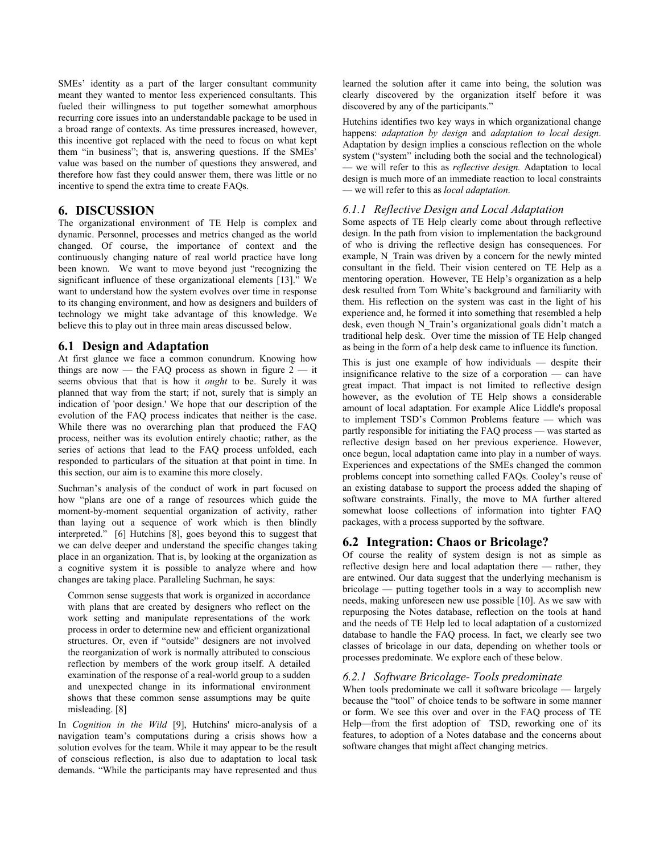SMEs' identity as a part of the larger consultant community meant they wanted to mentor less experienced consultants. This fueled their willingness to put together somewhat amorphous recurring core issues into an understandable package to be used in a broad range of contexts. As time pressures increased, however, this incentive got replaced with the need to focus on what kept them "in business"; that is, answering questions. If the SMEs' value was based on the number of questions they answered, and therefore how fast they could answer them, there was little or no incentive to spend the extra time to create FAQs.

## **6. DISCUSSION**

The organizational environment of TE Help is complex and dynamic. Personnel, processes and metrics changed as the world changed. Of course, the importance of context and the continuously changing nature of real world practice have long been known. We want to move beyond just "recognizing the significant influence of these organizational elements [13]." We want to understand how the system evolves over time in response to its changing environment, and how as designers and builders of technology we might take advantage of this knowledge. We believe this to play out in three main areas discussed below.

### **6.1 Design and Adaptation**

At first glance we face a common conundrum. Knowing how things are now — the FAQ process as shown in figure  $2 - it$ seems obvious that that is how it *ought* to be. Surely it was planned that way from the start; if not, surely that is simply an indication of 'poor design.' We hope that our description of the evolution of the FAQ process indicates that neither is the case. While there was no overarching plan that produced the FAQ process, neither was its evolution entirely chaotic; rather, as the series of actions that lead to the FAQ process unfolded, each responded to particulars of the situation at that point in time. In this section, our aim is to examine this more closely.

Suchman's analysis of the conduct of work in part focused on how "plans are one of a range of resources which guide the moment-by-moment sequential organization of activity, rather than laying out a sequence of work which is then blindly interpreted." [6] Hutchins [8], goes beyond this to suggest that we can delve deeper and understand the specific changes taking place in an organization. That is, by looking at the organization as a cognitive system it is possible to analyze where and how changes are taking place. Paralleling Suchman, he says:

Common sense suggests that work is organized in accordance with plans that are created by designers who reflect on the work setting and manipulate representations of the work process in order to determine new and efficient organizational structures. Or, even if "outside" designers are not involved the reorganization of work is normally attributed to conscious reflection by members of the work group itself. A detailed examination of the response of a real-world group to a sudden and unexpected change in its informational environment shows that these common sense assumptions may be quite misleading. [8]

In *Cognition in the Wild* [9], Hutchins' micro-analysis of a navigation team's computations during a crisis shows how a solution evolves for the team. While it may appear to be the result of conscious reflection, is also due to adaptation to local task demands. "While the participants may have represented and thus

learned the solution after it came into being, the solution was clearly discovered by the organization itself before it was discovered by any of the participants."

Hutchins identifies two key ways in which organizational change happens: *adaptation by design* and *adaptation to local design*. Adaptation by design implies a conscious reflection on the whole system ("system" including both the social and the technological) — we will refer to this as *reflective design.* Adaptation to local design is much more of an immediate reaction to local constraints — we will refer to this as *local adaptation*.

#### *6.1.1 Reflective Design and Local Adaptation*

Some aspects of TE Help clearly come about through reflective design. In the path from vision to implementation the background of who is driving the reflective design has consequences. For example, N\_Train was driven by a concern for the newly minted consultant in the field. Their vision centered on TE Help as a mentoring operation. However, TE Help's organization as a help desk resulted from Tom White's background and familiarity with them. His reflection on the system was cast in the light of his experience and, he formed it into something that resembled a help desk, even though N\_Train's organizational goals didn't match a traditional help desk. Over time the mission of TE Help changed as being in the form of a help desk came to influence its function.

This is just one example of how individuals — despite their insignificance relative to the size of a corporation — can have great impact. That impact is not limited to reflective design however, as the evolution of TE Help shows a considerable amount of local adaptation. For example Alice Liddle's proposal to implement TSD's Common Problems feature — which was partly responsible for initiating the FAQ process — was started as reflective design based on her previous experience. However, once begun, local adaptation came into play in a number of ways. Experiences and expectations of the SMEs changed the common problems concept into something called FAQs. Cooley's reuse of an existing database to support the process added the shaping of software constraints. Finally, the move to MA further altered somewhat loose collections of information into tighter FAQ packages, with a process supported by the software.

## **6.2 Integration: Chaos or Bricolage?**

Of course the reality of system design is not as simple as reflective design here and local adaptation there — rather, they are entwined. Our data suggest that the underlying mechanism is bricolage — putting together tools in a way to accomplish new needs, making unforeseen new use possible [10]. As we saw with repurposing the Notes database, reflection on the tools at hand and the needs of TE Help led to local adaptation of a customized database to handle the FAQ process. In fact, we clearly see two classes of bricolage in our data, depending on whether tools or processes predominate. We explore each of these below.

#### *6.2.1 Software Bricolage- Tools predominate*

When tools predominate we call it software bricolage — largely because the "tool" of choice tends to be software in some manner or form. We see this over and over in the FAQ process of TE Help—from the first adoption of TSD, reworking one of its features, to adoption of a Notes database and the concerns about software changes that might affect changing metrics.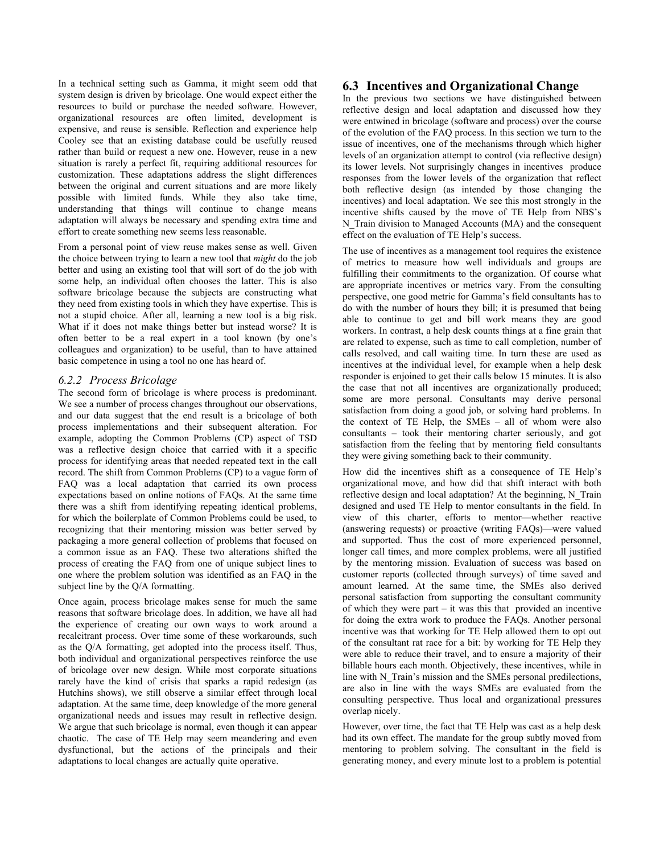In a technical setting such as Gamma, it might seem odd that system design is driven by bricolage. One would expect either the resources to build or purchase the needed software. However, organizational resources are often limited, development is expensive, and reuse is sensible. Reflection and experience help Cooley see that an existing database could be usefully reused rather than build or request a new one. However, reuse in a new situation is rarely a perfect fit, requiring additional resources for customization. These adaptations address the slight differences between the original and current situations and are more likely possible with limited funds. While they also take time, understanding that things will continue to change means adaptation will always be necessary and spending extra time and effort to create something new seems less reasonable.

From a personal point of view reuse makes sense as well. Given the choice between trying to learn a new tool that *might* do the job better and using an existing tool that will sort of do the job with some help, an individual often chooses the latter. This is also software bricolage because the subjects are constructing what they need from existing tools in which they have expertise. This is not a stupid choice. After all, learning a new tool is a big risk. What if it does not make things better but instead worse? It is often better to be a real expert in a tool known (by one's colleagues and organization) to be useful, than to have attained basic competence in using a tool no one has heard of.

#### *6.2.2 Process Bricolage*

The second form of bricolage is where process is predominant. We see a number of process changes throughout our observations, and our data suggest that the end result is a bricolage of both process implementations and their subsequent alteration. For example, adopting the Common Problems (CP) aspect of TSD was a reflective design choice that carried with it a specific process for identifying areas that needed repeated text in the call record. The shift from Common Problems (CP) to a vague form of FAQ was a local adaptation that carried its own process expectations based on online notions of FAQs. At the same time there was a shift from identifying repeating identical problems, for which the boilerplate of Common Problems could be used, to recognizing that their mentoring mission was better served by packaging a more general collection of problems that focused on a common issue as an FAQ. These two alterations shifted the process of creating the FAQ from one of unique subject lines to one where the problem solution was identified as an FAQ in the subject line by the Q/A formatting.

Once again, process bricolage makes sense for much the same reasons that software bricolage does. In addition, we have all had the experience of creating our own ways to work around a recalcitrant process. Over time some of these workarounds, such as the Q/A formatting, get adopted into the process itself. Thus, both individual and organizational perspectives reinforce the use of bricolage over new design. While most corporate situations rarely have the kind of crisis that sparks a rapid redesign (as Hutchins shows), we still observe a similar effect through local adaptation. At the same time, deep knowledge of the more general organizational needs and issues may result in reflective design. We argue that such bricolage is normal, even though it can appear chaotic. The case of TE Help may seem meandering and even dysfunctional, but the actions of the principals and their adaptations to local changes are actually quite operative.

## **6.3 Incentives and Organizational Change**

In the previous two sections we have distinguished between reflective design and local adaptation and discussed how they were entwined in bricolage (software and process) over the course of the evolution of the FAQ process. In this section we turn to the issue of incentives, one of the mechanisms through which higher levels of an organization attempt to control (via reflective design) its lower levels. Not surprisingly changes in incentives produce responses from the lower levels of the organization that reflect both reflective design (as intended by those changing the incentives) and local adaptation. We see this most strongly in the incentive shifts caused by the move of TE Help from NBS's N Train division to Managed Accounts (MA) and the consequent effect on the evaluation of TE Help's success.

The use of incentives as a management tool requires the existence of metrics to measure how well individuals and groups are fulfilling their commitments to the organization. Of course what are appropriate incentives or metrics vary. From the consulting perspective, one good metric for Gamma's field consultants has to do with the number of hours they bill; it is presumed that being able to continue to get and bill work means they are good workers. In contrast, a help desk counts things at a fine grain that are related to expense, such as time to call completion, number of calls resolved, and call waiting time. In turn these are used as incentives at the individual level, for example when a help desk responder is enjoined to get their calls below 15 minutes. It is also the case that not all incentives are organizationally produced; some are more personal. Consultants may derive personal satisfaction from doing a good job, or solving hard problems. In the context of TE Help, the SMEs – all of whom were also consultants – took their mentoring charter seriously, and got satisfaction from the feeling that by mentoring field consultants they were giving something back to their community.

How did the incentives shift as a consequence of TE Help's organizational move, and how did that shift interact with both reflective design and local adaptation? At the beginning, N\_Train designed and used TE Help to mentor consultants in the field. In view of this charter, efforts to mentor—whether reactive (answering requests) or proactive (writing FAQs)—were valued and supported. Thus the cost of more experienced personnel, longer call times, and more complex problems, were all justified by the mentoring mission. Evaluation of success was based on customer reports (collected through surveys) of time saved and amount learned. At the same time, the SMEs also derived personal satisfaction from supporting the consultant community of which they were part – it was this that provided an incentive for doing the extra work to produce the FAQs. Another personal incentive was that working for TE Help allowed them to opt out of the consultant rat race for a bit: by working for TE Help they were able to reduce their travel, and to ensure a majority of their billable hours each month. Objectively, these incentives, while in line with N\_Train's mission and the SMEs personal predilections, are also in line with the ways SMEs are evaluated from the consulting perspective. Thus local and organizational pressures overlap nicely.

However, over time, the fact that TE Help was cast as a help desk had its own effect. The mandate for the group subtly moved from mentoring to problem solving. The consultant in the field is generating money, and every minute lost to a problem is potential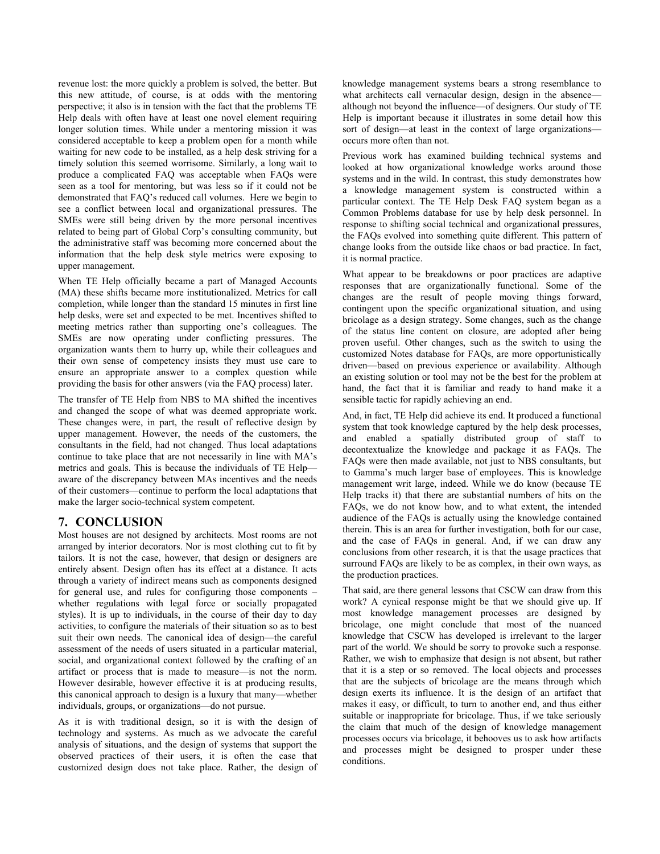revenue lost: the more quickly a problem is solved, the better. But this new attitude, of course, is at odds with the mentoring perspective; it also is in tension with the fact that the problems TE Help deals with often have at least one novel element requiring longer solution times. While under a mentoring mission it was considered acceptable to keep a problem open for a month while waiting for new code to be installed, as a help desk striving for a timely solution this seemed worrisome. Similarly, a long wait to produce a complicated FAQ was acceptable when FAQs were seen as a tool for mentoring, but was less so if it could not be demonstrated that FAQ's reduced call volumes. Here we begin to see a conflict between local and organizational pressures. The SMEs were still being driven by the more personal incentives related to being part of Global Corp's consulting community, but the administrative staff was becoming more concerned about the information that the help desk style metrics were exposing to upper management.

When TE Help officially became a part of Managed Accounts (MA) these shifts became more institutionalized. Metrics for call completion, while longer than the standard 15 minutes in first line help desks, were set and expected to be met. Incentives shifted to meeting metrics rather than supporting one's colleagues. The SMEs are now operating under conflicting pressures. The organization wants them to hurry up, while their colleagues and their own sense of competency insists they must use care to ensure an appropriate answer to a complex question while providing the basis for other answers (via the FAQ process) later.

The transfer of TE Help from NBS to MA shifted the incentives and changed the scope of what was deemed appropriate work. These changes were, in part, the result of reflective design by upper management. However, the needs of the customers, the consultants in the field, had not changed. Thus local adaptations continue to take place that are not necessarily in line with MA's metrics and goals. This is because the individuals of TE Help aware of the discrepancy between MAs incentives and the needs of their customers—continue to perform the local adaptations that make the larger socio-technical system competent.

## **7. CONCLUSION**

Most houses are not designed by architects. Most rooms are not arranged by interior decorators. Nor is most clothing cut to fit by tailors. It is not the case, however, that design or designers are entirely absent. Design often has its effect at a distance. It acts through a variety of indirect means such as components designed for general use, and rules for configuring those components – whether regulations with legal force or socially propagated styles). It is up to individuals, in the course of their day to day activities, to configure the materials of their situation so as to best suit their own needs. The canonical idea of design—the careful assessment of the needs of users situated in a particular material, social, and organizational context followed by the crafting of an artifact or process that is made to measure—is not the norm. However desirable, however effective it is at producing results, this canonical approach to design is a luxury that many—whether individuals, groups, or organizations—do not pursue.

As it is with traditional design, so it is with the design of technology and systems. As much as we advocate the careful analysis of situations, and the design of systems that support the observed practices of their users, it is often the case that customized design does not take place. Rather, the design of knowledge management systems bears a strong resemblance to what architects call vernacular design, design in the absence although not beyond the influence—of designers. Our study of TE Help is important because it illustrates in some detail how this sort of design—at least in the context of large organizations occurs more often than not.

Previous work has examined building technical systems and looked at how organizational knowledge works around those systems and in the wild. In contrast, this study demonstrates how a knowledge management system is constructed within a particular context. The TE Help Desk FAQ system began as a Common Problems database for use by help desk personnel. In response to shifting social technical and organizational pressures, the FAQs evolved into something quite different. This pattern of change looks from the outside like chaos or bad practice. In fact, it is normal practice.

What appear to be breakdowns or poor practices are adaptive responses that are organizationally functional. Some of the changes are the result of people moving things forward, contingent upon the specific organizational situation, and using bricolage as a design strategy. Some changes, such as the change of the status line content on closure, are adopted after being proven useful. Other changes, such as the switch to using the customized Notes database for FAQs, are more opportunistically driven—based on previous experience or availability. Although an existing solution or tool may not be the best for the problem at hand, the fact that it is familiar and ready to hand make it a sensible tactic for rapidly achieving an end.

And, in fact, TE Help did achieve its end. It produced a functional system that took knowledge captured by the help desk processes, and enabled a spatially distributed group of staff to decontextualize the knowledge and package it as FAQs. The FAQs were then made available, not just to NBS consultants, but to Gamma's much larger base of employees. This is knowledge management writ large, indeed. While we do know (because TE Help tracks it) that there are substantial numbers of hits on the FAQs, we do not know how, and to what extent, the intended audience of the FAQs is actually using the knowledge contained therein. This is an area for further investigation, both for our case, and the case of FAQs in general. And, if we can draw any conclusions from other research, it is that the usage practices that surround FAQs are likely to be as complex, in their own ways, as the production practices.

That said, are there general lessons that CSCW can draw from this work? A cynical response might be that we should give up. If most knowledge management processes are designed by bricolage, one might conclude that most of the nuanced knowledge that CSCW has developed is irrelevant to the larger part of the world. We should be sorry to provoke such a response. Rather, we wish to emphasize that design is not absent, but rather that it is a step or so removed. The local objects and processes that are the subjects of bricolage are the means through which design exerts its influence. It is the design of an artifact that makes it easy, or difficult, to turn to another end, and thus either suitable or inappropriate for bricolage. Thus, if we take seriously the claim that much of the design of knowledge management processes occurs via bricolage, it behooves us to ask how artifacts and processes might be designed to prosper under these conditions.